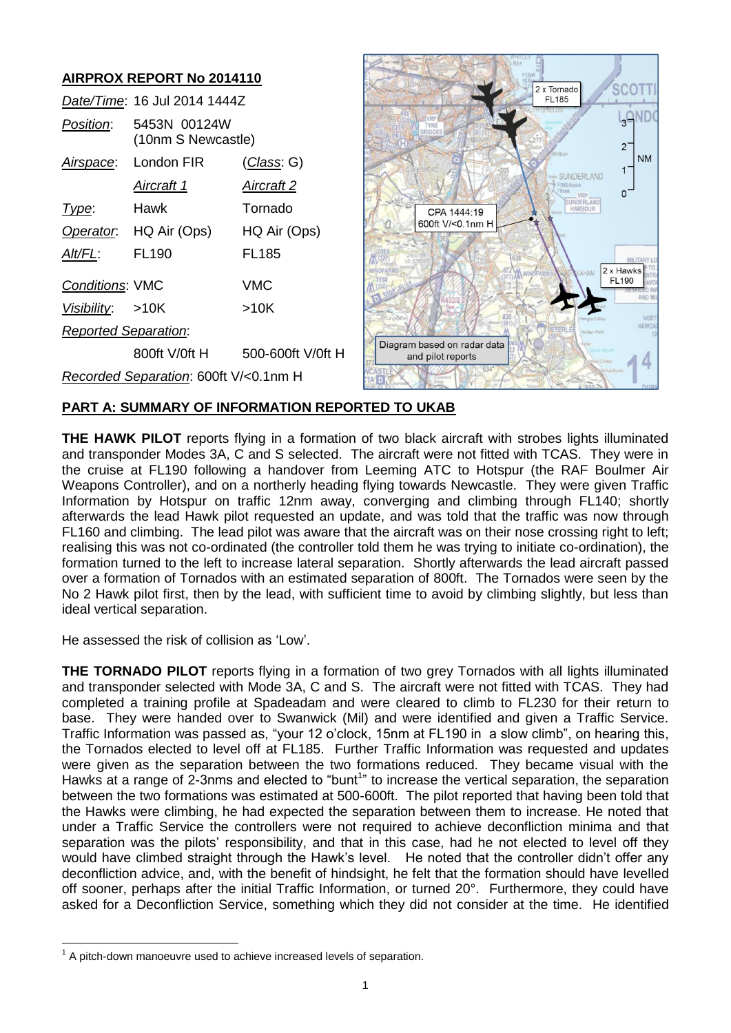

# **PART A: SUMMARY OF INFORMATION REPORTED TO UKAB**

**THE HAWK PILOT** reports flying in a formation of two black aircraft with strobes lights illuminated and transponder Modes 3A, C and S selected. The aircraft were not fitted with TCAS. They were in the cruise at FL190 following a handover from Leeming ATC to Hotspur (the RAF Boulmer Air Weapons Controller), and on a northerly heading flying towards Newcastle. They were given Traffic Information by Hotspur on traffic 12nm away, converging and climbing through FL140; shortly afterwards the lead Hawk pilot requested an update, and was told that the traffic was now through FL160 and climbing. The lead pilot was aware that the aircraft was on their nose crossing right to left; realising this was not co-ordinated (the controller told them he was trying to initiate co-ordination), the formation turned to the left to increase lateral separation. Shortly afterwards the lead aircraft passed over a formation of Tornados with an estimated separation of 800ft. The Tornados were seen by the No 2 Hawk pilot first, then by the lead, with sufficient time to avoid by climbing slightly, but less than ideal vertical separation.

He assessed the risk of collision as 'Low'.

**THE TORNADO PILOT** reports flying in a formation of two grey Tornados with all lights illuminated and transponder selected with Mode 3A, C and S. The aircraft were not fitted with TCAS. They had completed a training profile at Spadeadam and were cleared to climb to FL230 for their return to base. They were handed over to Swanwick (Mil) and were identified and given a Traffic Service. Traffic Information was passed as, "your 12 o'clock, 15nm at FL190 in a slow climb", on hearing this, the Tornados elected to level off at FL185. Further Traffic Information was requested and updates were given as the separation between the two formations reduced. They became visual with the Hawks at a range of 2-3nms and elected to "bunt<sup>1</sup>" to increase the vertical separation, the separation between the two formations was estimated at 500-600ft. The pilot reported that having been told that the Hawks were climbing, he had expected the separation between them to increase. He noted that under a Traffic Service the controllers were not required to achieve deconfliction minima and that separation was the pilots' responsibility, and that in this case, had he not elected to level off they would have climbed straight through the Hawk's level. He noted that the controller didn't offer any deconfliction advice, and, with the benefit of hindsight, he felt that the formation should have levelled off sooner, perhaps after the initial Traffic Information, or turned 20°. Furthermore, they could have asked for a Deconfliction Service, something which they did not consider at the time. He identified

 $\overline{a}$ 

 $1$  A pitch-down manoeuvre used to achieve increased levels of separation.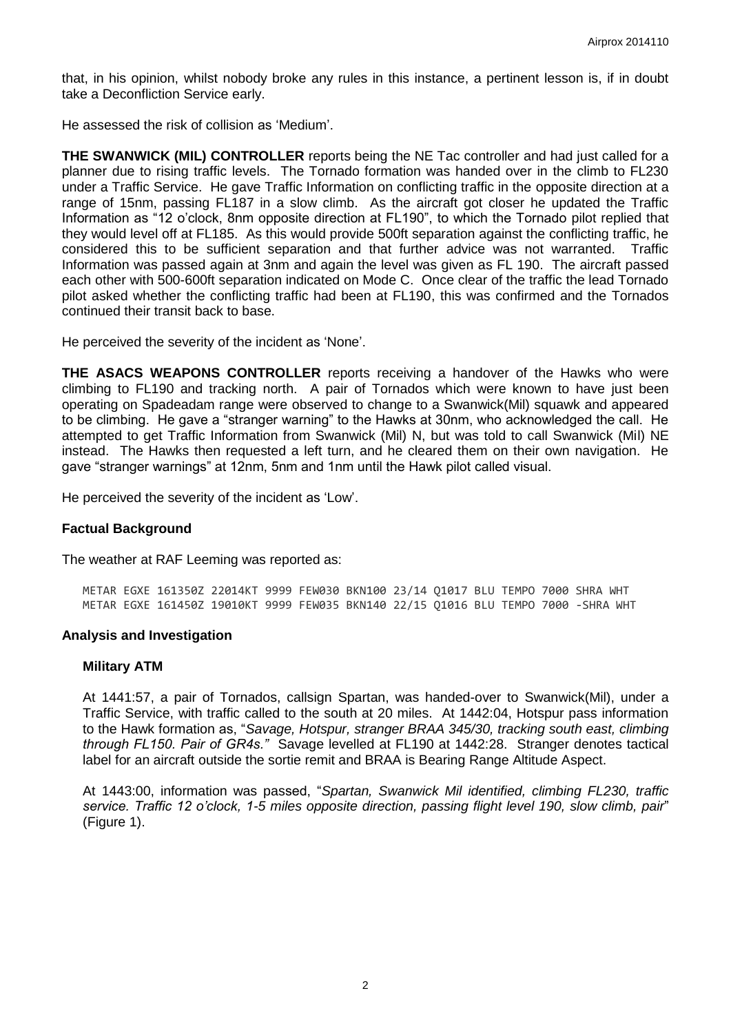that, in his opinion, whilst nobody broke any rules in this instance, a pertinent lesson is, if in doubt take a Deconfliction Service early.

He assessed the risk of collision as 'Medium'.

**THE SWANWICK (MIL) CONTROLLER** reports being the NE Tac controller and had just called for a planner due to rising traffic levels. The Tornado formation was handed over in the climb to FL230 under a Traffic Service. He gave Traffic Information on conflicting traffic in the opposite direction at a range of 15nm, passing FL187 in a slow climb. As the aircraft got closer he updated the Traffic Information as "12 o'clock, 8nm opposite direction at FL190", to which the Tornado pilot replied that they would level off at FL185. As this would provide 500ft separation against the conflicting traffic, he considered this to be sufficient separation and that further advice was not warranted. Traffic Information was passed again at 3nm and again the level was given as FL 190. The aircraft passed each other with 500-600ft separation indicated on Mode C. Once clear of the traffic the lead Tornado pilot asked whether the conflicting traffic had been at FL190, this was confirmed and the Tornados continued their transit back to base.

He perceived the severity of the incident as 'None'.

**THE ASACS WEAPONS CONTROLLER** reports receiving a handover of the Hawks who were climbing to FL190 and tracking north. A pair of Tornados which were known to have just been operating on Spadeadam range were observed to change to a Swanwick(Mil) squawk and appeared to be climbing. He gave a "stranger warning" to the Hawks at 30nm, who acknowledged the call. He attempted to get Traffic Information from Swanwick (Mil) N, but was told to call Swanwick (Mil) NE instead. The Hawks then requested a left turn, and he cleared them on their own navigation. He gave "stranger warnings" at 12nm, 5nm and 1nm until the Hawk pilot called visual.

He perceived the severity of the incident as 'Low'.

### **Factual Background**

The weather at RAF Leeming was reported as:

METAR EGXE 161350Z 22014KT 9999 FEW030 BKN100 23/14 Q1017 BLU TEMPO 7000 SHRA WHT METAR EGXE 161450Z 19010KT 9999 FEW035 BKN140 22/15 Q1016 BLU TEMPO 7000 -SHRA WHT

### **Analysis and Investigation**

#### **Military ATM**

At 1441:57, a pair of Tornados, callsign Spartan, was handed-over to Swanwick(Mil), under a Traffic Service, with traffic called to the south at 20 miles. At 1442:04, Hotspur pass information to the Hawk formation as, "*Savage, Hotspur, stranger BRAA 345/30, tracking south east, climbing through FL150. Pair of GR4s."* Savage levelled at FL190 at 1442:28. Stranger denotes tactical label for an aircraft outside the sortie remit and BRAA is Bearing Range Altitude Aspect.

At 1443:00, information was passed, "*Spartan, Swanwick Mil identified, climbing FL230, traffic service. Traffic 12 o'clock, 1-5 miles opposite direction, passing flight level 190, slow climb, pair*" (Figure 1).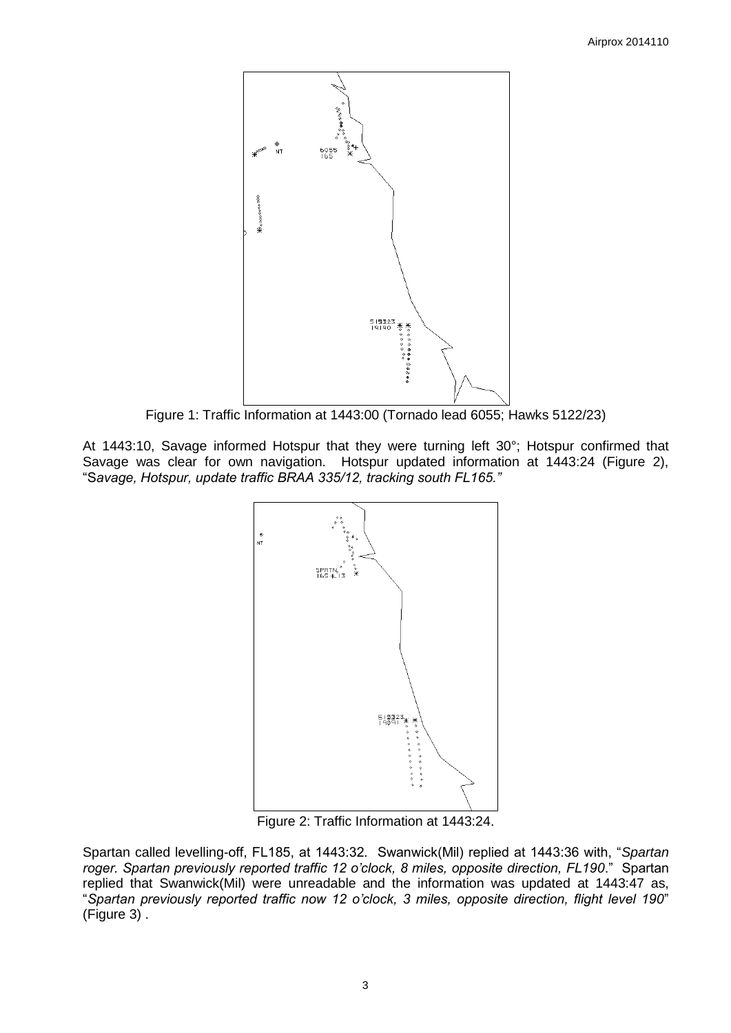

Figure 1: Traffic Information at 1443:00 (Tornado lead 6055; Hawks 5122/23)

At 1443:10, Savage informed Hotspur that they were turning left 30°; Hotspur confirmed that Savage was clear for own navigation. Hotspur updated information at 1443:24 (Figure 2), "S*avage, Hotspur, update traffic BRAA 335/12, tracking south FL165."*



Figure 2: Traffic Information at 1443:24.

Spartan called levelling-off, FL185, at 1443:32. Swanwick(Mil) replied at 1443:36 with, "*Spartan roger. Spartan previously reported traffic 12 o'clock, 8 miles, opposite direction, FL190*." Spartan replied that Swanwick(Mil) were unreadable and the information was updated at 1443:47 as, "*Spartan previously reported traffic now 12 o'clock, 3 miles, opposite direction, flight level 190*" (Figure 3) .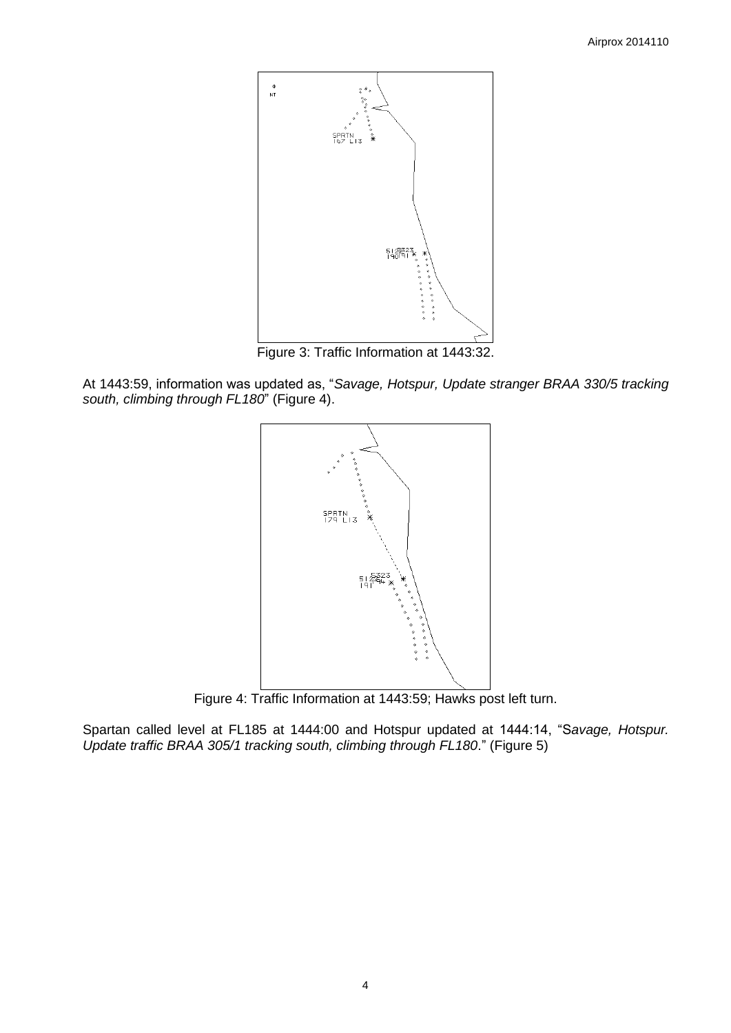

Figure 3: Traffic Information at 1443:32.

At 1443:59, information was updated as, "*Savage, Hotspur, Update stranger BRAA 330/5 tracking south, climbing through FL180*" (Figure 4).



Figure 4: Traffic Information at 1443:59; Hawks post left turn.

Spartan called level at FL185 at 1444:00 and Hotspur updated at 1444:14, "S*avage, Hotspur. Update traffic BRAA 305/1 tracking south, climbing through FL180*." (Figure 5)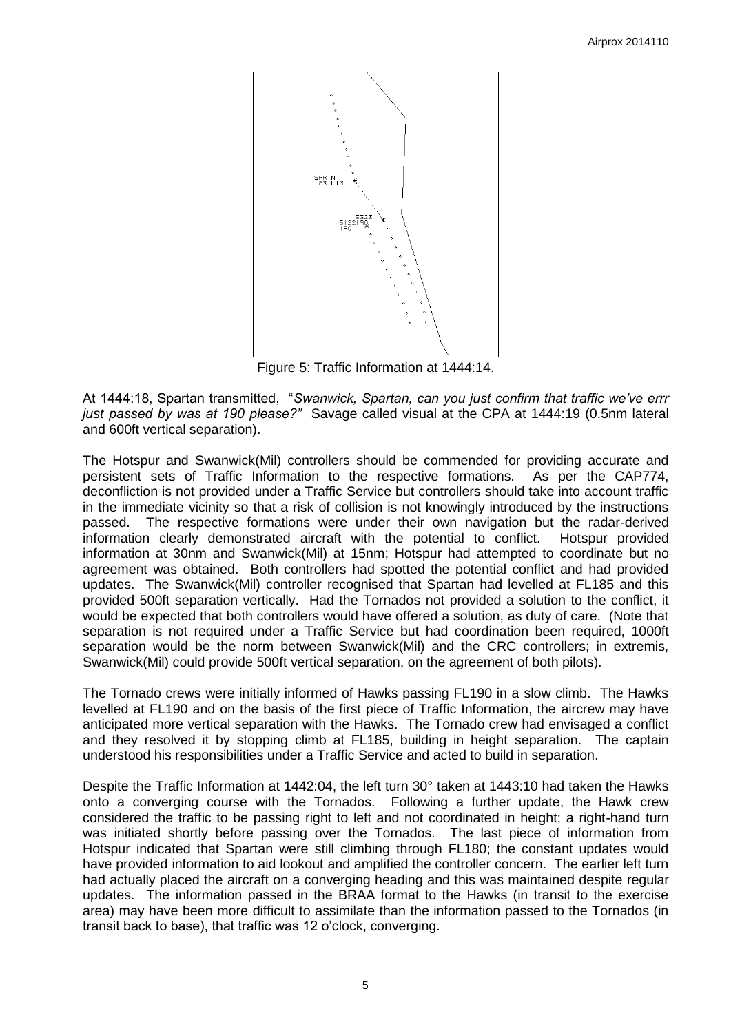

Figure 5: Traffic Information at 1444:14.

At 1444:18, Spartan transmitted, "*Swanwick, Spartan, can you just confirm that traffic we've errr just passed by was at 190 please?"* Savage called visual at the CPA at 1444:19 (0.5nm lateral and 600ft vertical separation).

The Hotspur and Swanwick(Mil) controllers should be commended for providing accurate and persistent sets of Traffic Information to the respective formations. As per the CAP774, deconfliction is not provided under a Traffic Service but controllers should take into account traffic in the immediate vicinity so that a risk of collision is not knowingly introduced by the instructions passed. The respective formations were under their own navigation but the radar-derived information clearly demonstrated aircraft with the potential to conflict. Hotspur provided information at 30nm and Swanwick(Mil) at 15nm; Hotspur had attempted to coordinate but no agreement was obtained. Both controllers had spotted the potential conflict and had provided updates. The Swanwick(Mil) controller recognised that Spartan had levelled at FL185 and this provided 500ft separation vertically. Had the Tornados not provided a solution to the conflict, it would be expected that both controllers would have offered a solution, as duty of care. (Note that separation is not required under a Traffic Service but had coordination been required, 1000ft separation would be the norm between Swanwick(Mil) and the CRC controllers; in extremis, Swanwick(Mil) could provide 500ft vertical separation, on the agreement of both pilots).

The Tornado crews were initially informed of Hawks passing FL190 in a slow climb. The Hawks levelled at FL190 and on the basis of the first piece of Traffic Information, the aircrew may have anticipated more vertical separation with the Hawks. The Tornado crew had envisaged a conflict and they resolved it by stopping climb at FL185, building in height separation. The captain understood his responsibilities under a Traffic Service and acted to build in separation.

Despite the Traffic Information at 1442:04, the left turn 30° taken at 1443:10 had taken the Hawks onto a converging course with the Tornados. Following a further update, the Hawk crew considered the traffic to be passing right to left and not coordinated in height; a right-hand turn was initiated shortly before passing over the Tornados. The last piece of information from Hotspur indicated that Spartan were still climbing through FL180; the constant updates would have provided information to aid lookout and amplified the controller concern. The earlier left turn had actually placed the aircraft on a converging heading and this was maintained despite regular updates. The information passed in the BRAA format to the Hawks (in transit to the exercise area) may have been more difficult to assimilate than the information passed to the Tornados (in transit back to base), that traffic was 12 o'clock, converging.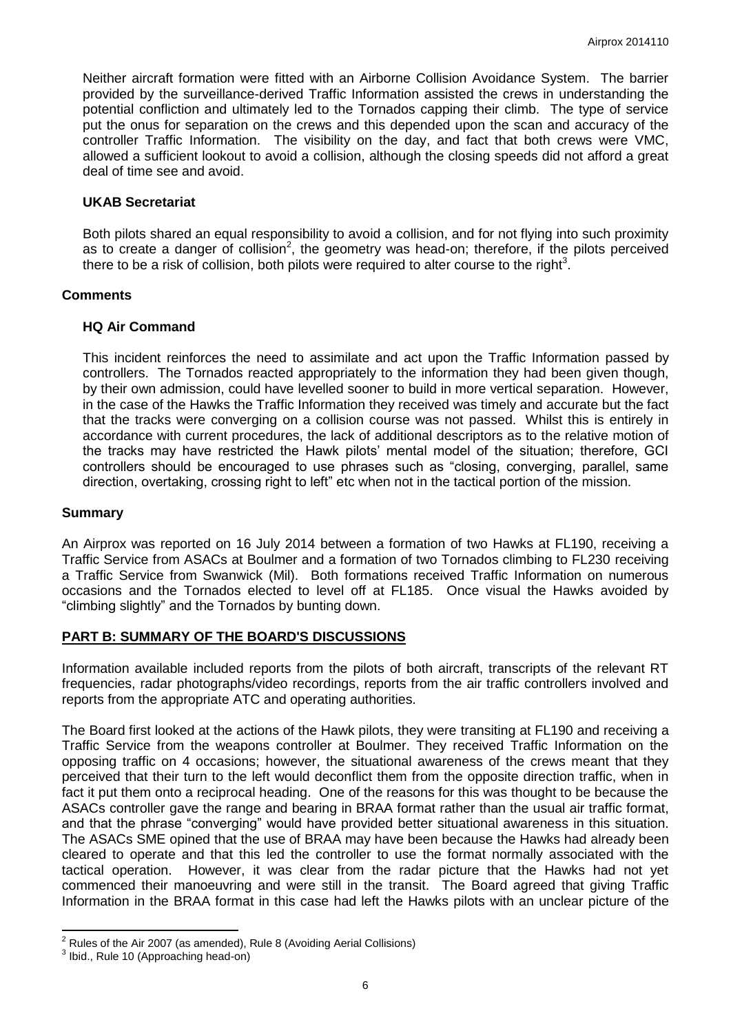Neither aircraft formation were fitted with an Airborne Collision Avoidance System. The barrier provided by the surveillance-derived Traffic Information assisted the crews in understanding the potential confliction and ultimately led to the Tornados capping their climb. The type of service put the onus for separation on the crews and this depended upon the scan and accuracy of the controller Traffic Information. The visibility on the day, and fact that both crews were VMC, allowed a sufficient lookout to avoid a collision, although the closing speeds did not afford a great deal of time see and avoid.

# **UKAB Secretariat**

Both pilots shared an equal responsibility to avoid a collision, and for not flying into such proximity as to create a danger of collision<sup>2</sup>, the geometry was head-on; therefore, if the pilots perceived there to be a risk of collision, both pilots were required to alter course to the right<sup>3</sup>.

# **Comments**

# **HQ Air Command**

This incident reinforces the need to assimilate and act upon the Traffic Information passed by controllers. The Tornados reacted appropriately to the information they had been given though, by their own admission, could have levelled sooner to build in more vertical separation. However, in the case of the Hawks the Traffic Information they received was timely and accurate but the fact that the tracks were converging on a collision course was not passed. Whilst this is entirely in accordance with current procedures, the lack of additional descriptors as to the relative motion of the tracks may have restricted the Hawk pilots' mental model of the situation; therefore, GCI controllers should be encouraged to use phrases such as "closing, converging, parallel, same direction, overtaking, crossing right to left" etc when not in the tactical portion of the mission.

## **Summary**

An Airprox was reported on 16 July 2014 between a formation of two Hawks at FL190, receiving a Traffic Service from ASACs at Boulmer and a formation of two Tornados climbing to FL230 receiving a Traffic Service from Swanwick (Mil). Both formations received Traffic Information on numerous occasions and the Tornados elected to level off at FL185. Once visual the Hawks avoided by "climbing slightly" and the Tornados by bunting down.

### **PART B: SUMMARY OF THE BOARD'S DISCUSSIONS**

Information available included reports from the pilots of both aircraft, transcripts of the relevant RT frequencies, radar photographs/video recordings, reports from the air traffic controllers involved and reports from the appropriate ATC and operating authorities.

The Board first looked at the actions of the Hawk pilots, they were transiting at FL190 and receiving a Traffic Service from the weapons controller at Boulmer. They received Traffic Information on the opposing traffic on 4 occasions; however, the situational awareness of the crews meant that they perceived that their turn to the left would deconflict them from the opposite direction traffic, when in fact it put them onto a reciprocal heading. One of the reasons for this was thought to be because the ASACs controller gave the range and bearing in BRAA format rather than the usual air traffic format, and that the phrase "converging" would have provided better situational awareness in this situation. The ASACs SME opined that the use of BRAA may have been because the Hawks had already been cleared to operate and that this led the controller to use the format normally associated with the tactical operation. However, it was clear from the radar picture that the Hawks had not yet commenced their manoeuvring and were still in the transit. The Board agreed that giving Traffic Information in the BRAA format in this case had left the Hawks pilots with an unclear picture of the

 $\overline{\phantom{a}}$ 

 $2$  Rules of the Air 2007 (as amended), Rule 8 (Avoiding Aerial Collisions)

<sup>&</sup>lt;sup>3</sup> Ibid., Rule 10 (Approaching head-on)